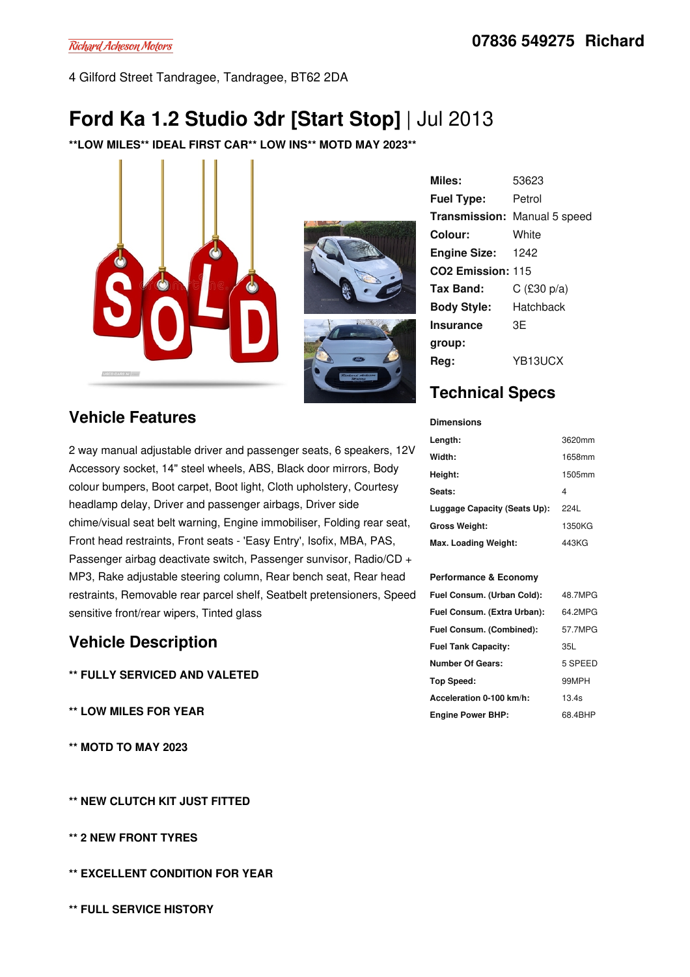4 Gilford Street Tandragee, Tandragee, BT62 2DA

# **Ford Ka 1.2 Studio 3dr [Start Stop]** | Jul 2013

**\*\*LOW MILES\*\* IDEAL FIRST CAR\*\* LOW INS\*\* MOTD MAY 2023\*\***



### **Vehicle Features**

2 way manual adjustable driver and passenger seats, 6 speakers, 12V Accessory socket, 14" steel wheels, ABS, Black door mirrors, Body colour bumpers, Boot carpet, Boot light, Cloth upholstery, Courtesy headlamp delay, Driver and passenger airbags, Driver side chime/visual seat belt warning, Engine immobiliser, Folding rear seat, Front head restraints, Front seats -'Easy Entry', Isofix, MBA, PAS, Passenger airbag deactivate switch, Passenger sunvisor, Radio/CD + MP3, Rake adjustable steering column, Rear bench seat, Rear head restraints, Removable rear parcel shelf, Seatbelt pretensioners, Speed sensitive front/rear wipers, Tinted glass

#### **Vehicle Description**

- **\*\* FULLY SERVICED AND VALETED**
- **\*\* LOW MILES FOR YEAR**
- **\*\* MOTD TO MAY 2023**

**\*\* NEW CLUTCH KIT JUST FITTED**

- **\*\* 2 NEW FRONT TYRES**
- **\*\* EXCELLENT CONDITION FOR YEAR**
- **\*\* FULL SERVICE HISTORY**

| <b>Motors</b> |
|---------------|

**Miles:** 53623 **Fuel Type:** Petrol **Transmission:** Manual 5 speed **Colour:** White **Engine Size:** 1242 **CO2 Emission:** 115 **Tax Band:** C (£30 p/a) **Body Style:** Hatchback **Insurance group:** 3E **Reg:** YB13UCX

## **Technical Specs**

| <b>Dimensions</b>            |        |
|------------------------------|--------|
| Length:                      | 3620mm |
| Width:                       | 1658mm |
| Height:                      | 1505mm |
| Seats:                       | 4      |
| Luggage Capacity (Seats Up): | 2241   |
| <b>Gross Weight:</b>         | 1350KG |
| Max. Loading Weight:         | 443KG  |

#### **Performance & Economy**

| Fuel Consum. (Urban Cold):  | 48.7MPG |
|-----------------------------|---------|
| Fuel Consum. (Extra Urban): | 64.2MPG |
| Fuel Consum. (Combined):    | 57.7MPG |
| <b>Fuel Tank Capacity:</b>  | 35L     |
| <b>Number Of Gears:</b>     | 5 SPEED |
| Top Speed:                  | 99MPH   |
| Acceleration 0-100 km/h:    | 13.4s   |
| <b>Engine Power BHP:</b>    | 68.4BHP |